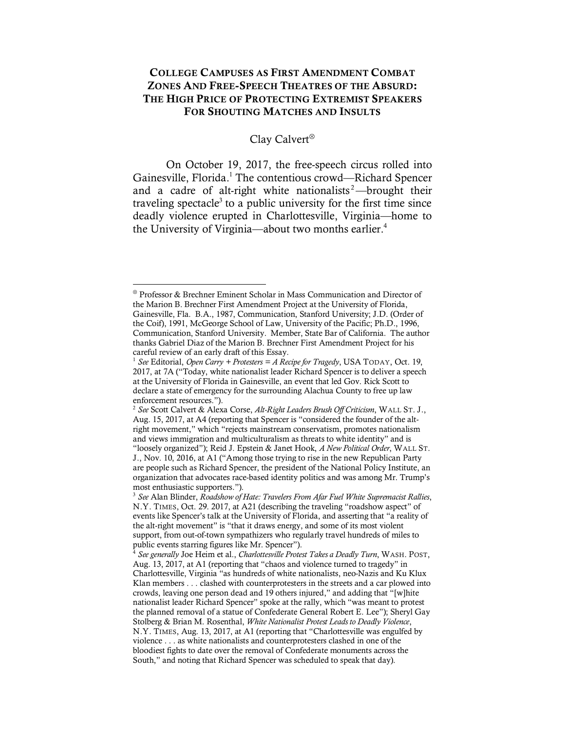# COLLEGE CAMPUSES AS FIRST AMENDMENT COMBAT ZONES AND FREE-SPEECH THEATRES OF THE ABSURD: THE HIGH PRICE OF PROTECTING EXTREMIST SPEAKERS FOR SHOUTING MATCHES AND INSULTS

#### Clay Calvert<sup>®</sup>

On October 19, 2017, the free-speech circus rolled into Gainesville, Florida.<sup>1</sup> The contentious crowd—Richard Spencer and a cadre of alt-right white nationalists<sup>2</sup>—brought their traveling spectacle<sup>3</sup> to a public university for the first time since deadly violence erupted in Charlottesville, Virginia—home to the University of Virginia—about two months earlier. 4

<sup>Ä</sup> Professor & Brechner Eminent Scholar in Mass Communication and Director of the Marion B. Brechner First Amendment Project at the University of Florida, Gainesville, Fla. B.A., 1987, Communication, Stanford University; J.D. (Order of the Coif), 1991, McGeorge School of Law, University of the Pacific; Ph.D., 1996, Communication, Stanford University. Member, State Bar of California. The author thanks Gabriel Diaz of the Marion B. Brechner First Amendment Project for his careful review of an early draft of this Essay.

<sup>1</sup> *See* Editorial, *Open Carry + Protesters = A Recipe for Tragedy*, USA TODAY, Oct. 19, 2017, at 7A ("Today, white nationalist leader Richard Spencer is to deliver a speech at the University of Florida in Gainesville, an event that led Gov. Rick Scott to declare a state of emergency for the surrounding Alachua County to free up law enforcement resources.").

<sup>2</sup> *See* Scott Calvert & Alexa Corse, *Alt-Right Leaders Brush Off Criticism*, WALL ST. J., Aug. 15, 2017, at A4 (reporting that Spencer is "considered the founder of the altright movement," which "rejects mainstream conservatism, promotes nationalism and views immigration and multiculturalism as threats to white identity" and is "loosely organized"); Reid J. Epstein & Janet Hook, *A New Political Order*, WALL ST. J., Nov. 10, 2016, at A1 ("Among those trying to rise in the new Republican Party are people such as Richard Spencer, the president of the National Policy Institute, an organization that advocates race-based identity politics and was among Mr. Trump's most enthusiastic supporters.").

<sup>3</sup> *See* Alan Blinder, *Roadshow of Hate: Travelers From Afar Fuel White Supremacist Rallies*, N.Y. TIMES, Oct. 29. 2017, at A21 (describing the traveling "roadshow aspect" of events like Spencer's talk at the University of Florida, and asserting that "a reality of the alt-right movement" is "that it draws energy, and some of its most violent support, from out-of-town sympathizers who regularly travel hundreds of miles to public events starring figures like Mr. Spencer").

<sup>4</sup> *See generally* Joe Heim et al., *Charlottesville Protest Takes a Deadly Turn*, WASH. POST, Aug. 13, 2017, at A1 (reporting that "chaos and violence turned to tragedy" in Charlottesville, Virginia "as hundreds of white nationalists, neo-Nazis and Ku Klux Klan members . . . clashed with counterprotesters in the streets and a car plowed into crowds, leaving one person dead and 19 others injured," and adding that "[w]hite nationalist leader Richard Spencer" spoke at the rally, which "was meant to protest the planned removal of a statue of Confederate General Robert E. Lee"); Sheryl Gay Stolberg & Brian M. Rosenthal, *White Nationalist Protest Leads to Deadly Violence*, N.Y. TIMES, Aug. 13, 2017, at A1 (reporting that "Charlottesville was engulfed by violence . . . as white nationalists and counterprotesters clashed in one of the bloodiest fights to date over the removal of Confederate monuments across the South," and noting that Richard Spencer was scheduled to speak that day).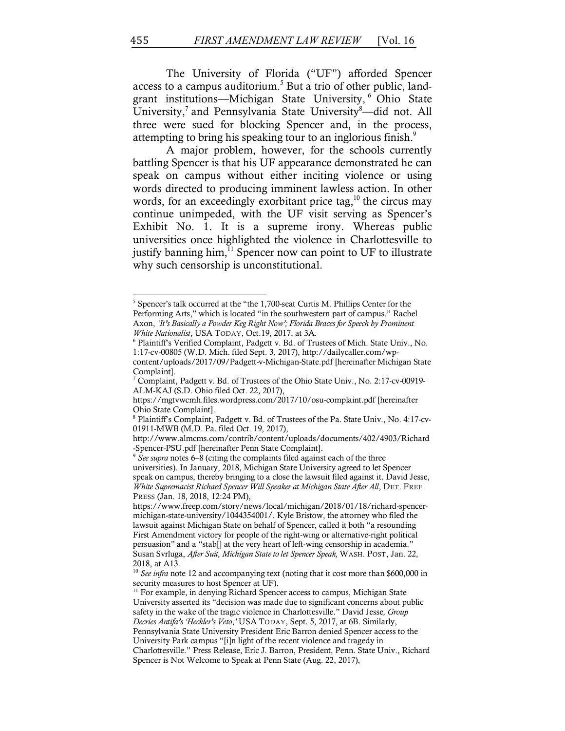The University of Florida ("UF") afforded Spencer access to a campus auditorium.<sup>5</sup> But a trio of other public, landgrant institutions—Michigan State University, <sup>6</sup> Ohio State University,<sup>7</sup> and Pennsylvania State University<sup>8</sup>—did not. All three were sued for blocking Spencer and, in the process, attempting to bring his speaking tour to an inglorious finish.<sup>9</sup>

A major problem, however, for the schools currently battling Spencer is that his UF appearance demonstrated he can speak on campus without either inciting violence or using words directed to producing imminent lawless action. In other words, for an exceedingly exorbitant price tag, $^{10}$  the circus may continue unimpeded, with the UF visit serving as Spencer's Exhibit No. 1. It is a supreme irony. Whereas public universities once highlighted the violence in Charlottesville to justify banning him,<sup>11</sup> Spencer now can point to UF to illustrate why such censorship is unconstitutional.

<sup>5</sup> Spencer's talk occurred at the "the 1,700-seat Curtis M. Phillips Center for the Performing Arts," which is located "in the southwestern part of campus." Rachel Axon, *'It's Basically a Powder Keg Right Now'; Florida Braces for Speech by Prominent White Nationalist*, USA TODAY, Oct.19, 2017, at 3A.

<sup>6</sup> Plaintiff's Verified Complaint, Padgett v. Bd. of Trustees of Mich. State Univ., No. 1:17-cv-00805 (W.D. Mich. filed Sept. 3, 2017), http://dailycaller.com/wpcontent/uploads/2017/09/Padgett-v-Michigan-State.pdf [hereinafter Michigan State

Complaint].<br><sup>7</sup> Complaint, Padgett v. Bd. of Trustees of the Ohio State Univ., No. 2:17-cv-00919-

ALM-KAJ (S.D. Ohio filed Oct. 22, 2017),

https://mgtvwcmh.files.wordpress.com/2017/10/osu-complaint.pdf [hereinafter Ohio State Complaint].<br><sup>8</sup> Plaintiff's Complaint, Padgett v. Bd. of Trustees of the Pa. State Univ., No. 4:17-cv-

<sup>01911-</sup>MWB (M.D. Pa. filed Oct. 19, 2017),

http://www.almcms.com/contrib/content/uploads/documents/402/4903/Richard -Spencer-PSU.pdf [hereinafter Penn State Complaint]. 9 *See supra* notes 6–8 (citing the complaints filed against each of the three

universities). In January, 2018, Michigan State University agreed to let Spencer speak on campus, thereby bringing to a close the lawsuit filed against it. David Jesse, *White Supremacist Richard Spencer Will Speaker at Michigan State After All*, DET. FREE PRESS (Jan. 18, 2018, 12:24 PM),

https://www.freep.com/story/news/local/michigan/2018/01/18/richard-spencermichigan-state-university/1044354001/. Kyle Bristow, the attorney who filed the lawsuit against Michigan State on behalf of Spencer, called it both "a resounding First Amendment victory for people of the right-wing or alternative-right political persuasion" and a "stab[] at the very heart of left-wing censorship in academia." Susan Svrluga, *After Suit, Michigan State to let Spencer Speak,* WASH. POST, Jan. 22, 2018, at A13.

<sup>&</sup>lt;sup>10</sup> *See infra* note 12 and accompanying text (noting that it cost more than \$600,000 in security measures to host Spencer at UF).

<sup>&</sup>lt;sup>11</sup> For example, in denying Richard Spencer access to campus, Michigan State University asserted its "decision was made due to significant concerns about public safety in the wake of the tragic violence in Charlottesville." David Jesse*, Group Decries Antifa's 'Heckler's Veto*,*'* USA TODAY, Sept. 5, 2017, at 6B. Similarly, Pennsylvania State University President Eric Barron denied Spencer access to the University Park campus "[i]n light of the recent violence and tragedy in Charlottesville." Press Release, Eric J. Barron, President, Penn. State Univ., Richard Spencer is Not Welcome to Speak at Penn State (Aug. 22, 2017),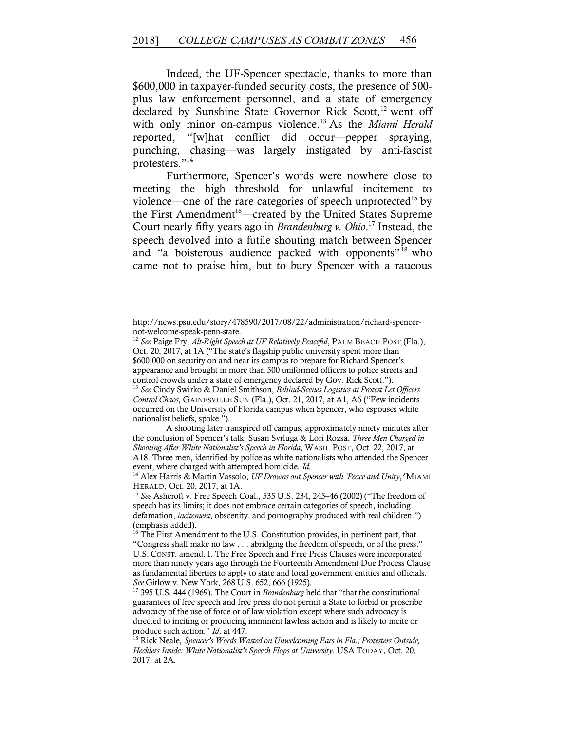Indeed, the UF-Spencer spectacle, thanks to more than \$600,000 in taxpayer-funded security costs, the presence of 500 plus law enforcement personnel, and a state of emergency declared by Sunshine State Governor Rick Scott,<sup>12</sup> went off with only minor on-campus violence.13 As the *Miami Herald* reported, "[w]hat conflict did occur—pepper spraying, punching, chasing—was largely instigated by anti-fascist protesters."14

Furthermore, Spencer's words were nowhere close to meeting the high threshold for unlawful incitement to violence—one of the rare categories of speech unprotected<sup>15</sup> by the First Amendment<sup>16</sup>—created by the United States Supreme Court nearly fifty years ago in *Brandenburg v. Ohio*. <sup>17</sup> Instead, the speech devolved into a futile shouting match between Spencer and "a boisterous audience packed with opponents"<sup>18</sup> who came not to praise him, but to bury Spencer with a raucous

<u> 1989 - Andrea San Aonaichte ann an Comhair ann an Comhair ann an Comhair ann an Comhair ann an C</u>

<sup>13</sup> *See* Cindy Swirko & Daniel Smithson, *Behind-Scenes Logistics at Protest Let Officers Control Chaos*, GAINESVILLE SUN (Fla.), Oct. 21, 2017, at A1, A6 ("Few incidents occurred on the University of Florida campus when Spencer, who espouses white nationalist beliefs, spoke.").

A shooting later transpired off campus, approximately ninety minutes after the conclusion of Spencer's talk. Susan Svrluga & Lori Rozsa, *Three Men Charged in Shooting After White Nationalist's Speech in Florida*, WASH. POST, Oct. 22, 2017, at A18. Three men, identified by police as white nationalists who attended the Spencer event, where charged with attempted homicide. *Id.*

http://news.psu.edu/story/478590/2017/08/22/administration/richard-spencernot-welcome-speak-penn-state.

<sup>12</sup> *See* Paige Fry, *Alt-Right Speech at UF Relatively Peaceful*, PALM BEACH POST (Fla.), Oct. 20, 2017, at 1A ("The state's flagship public university spent more than \$600,000 on security on and near its campus to prepare for Richard Spencer's appearance and brought in more than 500 uniformed officers to police streets and control crowds under a state of emergency declared by Gov. Rick Scott.").

<sup>14</sup> Alex Harris & Martin Vassolo, *UF Drowns out Spencer with 'Peace and Unity*,*'* MIAMI HERALD, Oct. 20, 2017, at 1A.

<sup>15</sup> *See* Ashcroft v. Free Speech Coal., 535 U.S. 234, 245–46 (2002) ("The freedom of speech has its limits; it does not embrace certain categories of speech, including defamation, *incitement*, obscenity, and pornography produced with real children.") (emphasis added).

<sup>&</sup>lt;sup>16</sup> The First Amendment to the U.S. Constitution provides, in pertinent part, that "Congress shall make no law . . . abridging the freedom of speech, or of the press." U.S. CONST. amend. I. The Free Speech and Free Press Clauses were incorporated more than ninety years ago through the Fourteenth Amendment Due Process Clause as fundamental liberties to apply to state and local government entities and officials. *See* Gitlow v. New York, 268 U.S. 652, 666 (1925).

<sup>&</sup>lt;sup>17</sup> 395 U.S. 444 (1969). The Court in *Brandenburg* held that "that the constitutional guarantees of free speech and free press do not permit a State to forbid or proscribe advocacy of the use of force or of law violation except where such advocacy is directed to inciting or producing imminent lawless action and is likely to incite or produce such action." *Id*. at 447.

<sup>18</sup> Rick Neale, *Spencer's Words Wasted on Unwelcoming Ears in Fla.; Protesters Outside, Hecklers Inside: White Nationalist's Speech Flops at University*, USA TODAY, Oct. 20, 2017, at 2A.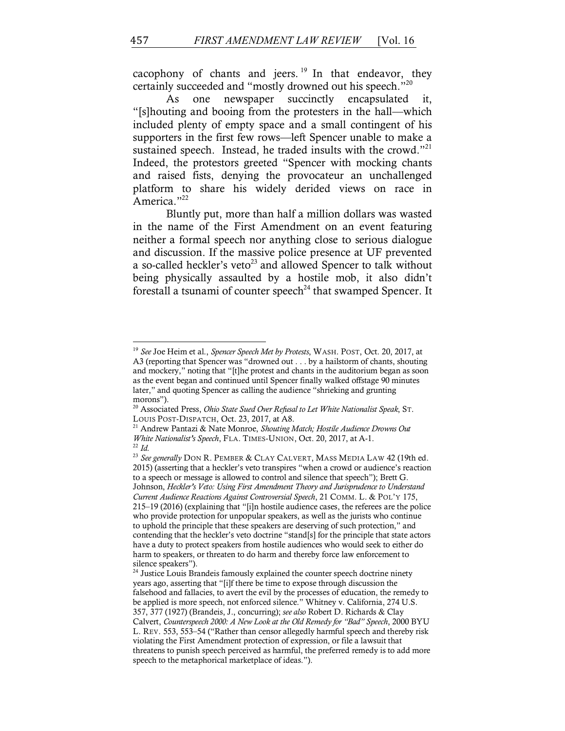cacophony of chants and jeers.  $19 \text{ In}$  that endeavor, they certainly succeeded and "mostly drowned out his speech."20

As one newspaper succinctly encapsulated it, "[s]houting and booing from the protesters in the hall—which included plenty of empty space and a small contingent of his supporters in the first few rows—left Spencer unable to make a sustained speech. Instead, he traded insults with the crowd."<sup>21</sup> Indeed, the protestors greeted "Spencer with mocking chants and raised fists, denying the provocateur an unchallenged platform to share his widely derided views on race in America."<sup>22</sup>

Bluntly put, more than half a million dollars was wasted in the name of the First Amendment on an event featuring neither a formal speech nor anything close to serious dialogue and discussion. If the massive police presence at UF prevented a so-called heckler's veto<sup>23</sup> and allowed Spencer to talk without being physically assaulted by a hostile mob, it also didn't forestall a tsunami of counter speech<sup>24</sup> that swamped Spencer. It

<sup>19</sup> *See* Joe Heim et al., *Spencer Speech Met by Protests*, WASH. POST, Oct. 20, 2017, at A3 (reporting that Spencer was "drowned out . . . by a hailstorm of chants, shouting and mockery," noting that "[t]he protest and chants in the auditorium began as soon as the event began and continued until Spencer finally walked offstage 90 minutes later," and quoting Spencer as calling the audience "shrieking and grunting morons").

<sup>20</sup> Associated Press, *Ohio State Sued Over Refusal to Let White Nationalist Speak*, ST. LOUIS POST-DISPATCH, Oct. 23, 2017, at A8.

<sup>21</sup> Andrew Pantazi & Nate Monroe, *Shouting Match; Hostile Audience Drowns Out White Nationalist's Speech*, FLA. TIMES-UNION, Oct. 20, 2017, at A-1. <sup>22</sup> *Id.*

<sup>23</sup> *See generally* DON R. PEMBER & CLAY CALVERT, MASS MEDIA LAW 42 (19th ed. 2015) (asserting that a heckler's veto transpires "when a crowd or audience's reaction to a speech or message is allowed to control and silence that speech"); Brett G. Johnson, *Heckler's Veto: Using First Amendment Theory and Jurisprudence to Understand Current Audience Reactions Against Controversial Speech*, 21 COMM. L. & POL'Y 175, 215–19 (2016) (explaining that "[i]n hostile audience cases, the referees are the police who provide protection for unpopular speakers, as well as the jurists who continue to uphold the principle that these speakers are deserving of such protection," and contending that the heckler's veto doctrine "stand[s] for the principle that state actors have a duty to protect speakers from hostile audiences who would seek to either do harm to speakers, or threaten to do harm and thereby force law enforcement to silence speakers").

<sup>&</sup>lt;sup>24</sup> Justice Louis Brandeis famously explained the counter speech doctrine ninety years ago, asserting that "[i]f there be time to expose through discussion the falsehood and fallacies, to avert the evil by the processes of education, the remedy to be applied is more speech, not enforced silence." Whitney v. California, 274 U.S. 357, 377 (1927) (Brandeis, J., concurring); *see also* Robert D. Richards & Clay Calvert, *Counterspeech 2000: A New Look at the Old Remedy for "Bad" Speech*, 2000 BYU L. REV. 553, 553–54 ("Rather than censor allegedly harmful speech and thereby risk violating the First Amendment protection of expression, or file a lawsuit that threatens to punish speech perceived as harmful, the preferred remedy is to add more speech to the metaphorical marketplace of ideas.").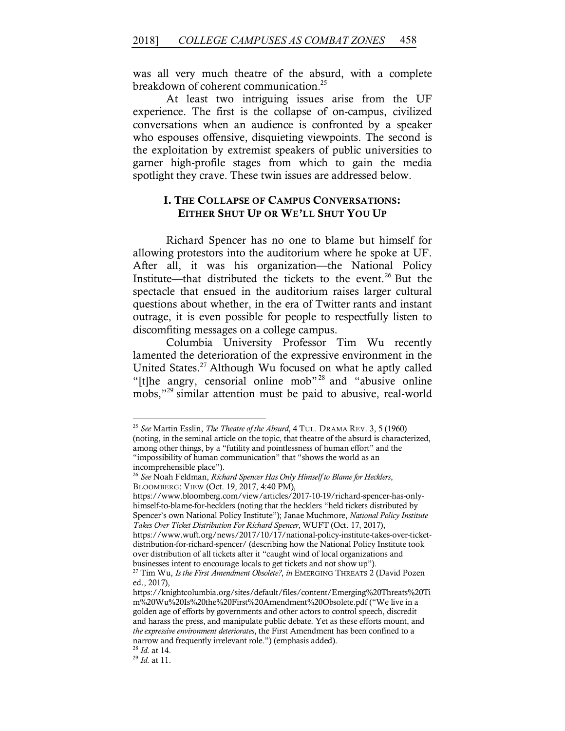was all very much theatre of the absurd, with a complete breakdown of coherent communication.<sup>25</sup>

At least two intriguing issues arise from the UF experience. The first is the collapse of on-campus, civilized conversations when an audience is confronted by a speaker who espouses offensive, disquieting viewpoints. The second is the exploitation by extremist speakers of public universities to garner high-profile stages from which to gain the media spotlight they crave. These twin issues are addressed below.

## I. THE COLLAPSE OF CAMPUS CONVERSATIONS: EITHER SHUT UP OR WE'LL SHUT YOU UP

Richard Spencer has no one to blame but himself for allowing protestors into the auditorium where he spoke at UF. After all, it was his organization—the National Policy Institute—that distributed the tickets to the event.<sup>26</sup> But the spectacle that ensued in the auditorium raises larger cultural questions about whether, in the era of Twitter rants and instant outrage, it is even possible for people to respectfully listen to discomfiting messages on a college campus.

Columbia University Professor Tim Wu recently lamented the deterioration of the expressive environment in the United States. <sup>27</sup> Although Wu focused on what he aptly called "[t]he angry, censorial online mob" <sup>28</sup> and "abusive online mobs,"<sup>29</sup> similar attention must be paid to abusive, real-world

 

https://www.bloomberg.com/view/articles/2017-10-19/richard-spencer-has-onlyhimself-to-blame-for-hecklers (noting that the hecklers "held tickets distributed by Spencer's own National Policy Institute"); Janae Muchmore, *National Policy Institute Takes Over Ticket Distribution For Richard Spencer*, WUFT (Oct. 17, 2017), https://www.wuft.org/news/2017/10/17/national-policy-institute-takes-over-ticket-

distribution-for-richard-spencer/ (describing how the National Policy Institute took over distribution of all tickets after it "caught wind of local organizations and businesses intent to encourage locals to get tickets and not show up").

<sup>25</sup> *See* Martin Esslin, *The Theatre of the Absurd*, 4 TUL. DRAMA REV. 3, 5 (1960) (noting, in the seminal article on the topic, that theatre of the absurd is characterized, among other things, by a "futility and pointlessness of human effort" and the "impossibility of human communication" that "shows the world as an incomprehensible place").

<sup>26</sup> *See* Noah Feldman, *Richard Spencer Has Only Himself to Blame for Hecklers*, BLOOMBERG: VIEW (Oct. 19, 2017, 4:40 PM),

<sup>&</sup>lt;sup>27</sup> Tim Wu, *Is the First Amendment Obsolete?*, *in* EMERGING THREATS 2 (David Pozen ed., 2017),

https://knightcolumbia.org/sites/default/files/content/Emerging%20Threats%20Ti m%20Wu%20Is%20the%20First%20Amendment%20Obsolete.pdf ("We live in a golden age of efforts by governments and other actors to control speech, discredit and harass the press, and manipulate public debate. Yet as these efforts mount, and *the expressive environment deteriorates*, the First Amendment has been confined to a narrow and frequently irrelevant role.") (emphasis added).

<sup>28</sup> *Id.* at 14. 29 *Id.* at 11.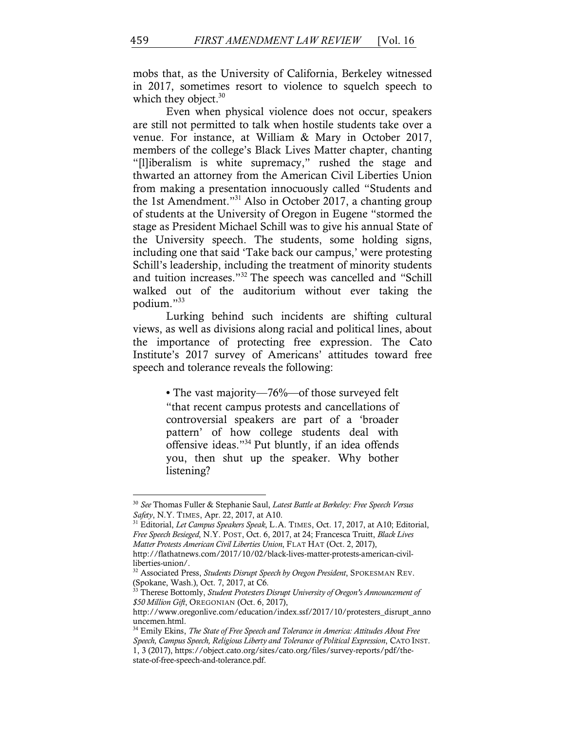mobs that, as the University of California, Berkeley witnessed in 2017, sometimes resort to violence to squelch speech to which they object. $30$ 

Even when physical violence does not occur, speakers are still not permitted to talk when hostile students take over a venue. For instance, at William & Mary in October 2017, members of the college's Black Lives Matter chapter, chanting "[l]iberalism is white supremacy," rushed the stage and thwarted an attorney from the American Civil Liberties Union from making a presentation innocuously called "Students and the 1st Amendment."31 Also in October 2017, a chanting group of students at the University of Oregon in Eugene "stormed the stage as President Michael Schill was to give his annual State of the University speech. The students, some holding signs, including one that said 'Take back our campus,' were protesting Schill's leadership, including the treatment of minority students and tuition increases."32 The speech was cancelled and "Schill walked out of the auditorium without ever taking the podium."<sup>33</sup>

Lurking behind such incidents are shifting cultural views, as well as divisions along racial and political lines, about the importance of protecting free expression. The Cato Institute's 2017 survey of Americans' attitudes toward free speech and tolerance reveals the following:

> • The vast majority—76%—of those surveyed felt "that recent campus protests and cancellations of controversial speakers are part of a 'broader pattern' of how college students deal with offensive ideas."34 Put bluntly, if an idea offends you, then shut up the speaker. Why bother listening?

<sup>30</sup> *See* Thomas Fuller & Stephanie Saul, *Latest Battle at Berkeley: Free Speech Versus Safety*, N.Y. TIMES, Apr. 22, 2017, at A10.

<sup>31</sup> Editorial, *Let Campus Speakers Speak*, L.A. TIMES, Oct. 17, 2017, at A10; Editorial, *Free Speech Besieged*, N.Y. POST, Oct. 6, 2017, at 24; Francesca Truitt, *Black Lives Matter Protests American Civil Liberties Union*, FLAT HAT (Oct. 2, 2017), http://flathatnews.com/2017/10/02/black-lives-matter-protests-american-civilliberties-union/.

<sup>32</sup> Associated Press, *Students Disrupt Speech by Oregon President*, SPOKESMAN REV. (Spokane, Wash.), Oct. 7, 2017, at C6.

<sup>&</sup>lt;sup>33</sup> Therese Bottomly, *Student Protesters Disrupt University of Oregon's Announcement of \$50 Million Gift*, OREGONIAN (Oct. 6, 2017),

http://www.oregonlive.com/education/index.ssf/2017/10/protesters\_disrupt\_anno uncemen.html.

<sup>34</sup> Emily Ekins, *The State of Free Speech and Tolerance in America: Attitudes About Free Speech, Campus Speech, Religious Liberty and Tolerance of Political Expression*, CATO INST. 1, 3 (2017), https://object.cato.org/sites/cato.org/files/survey-reports/pdf/thestate-of-free-speech-and-tolerance.pdf.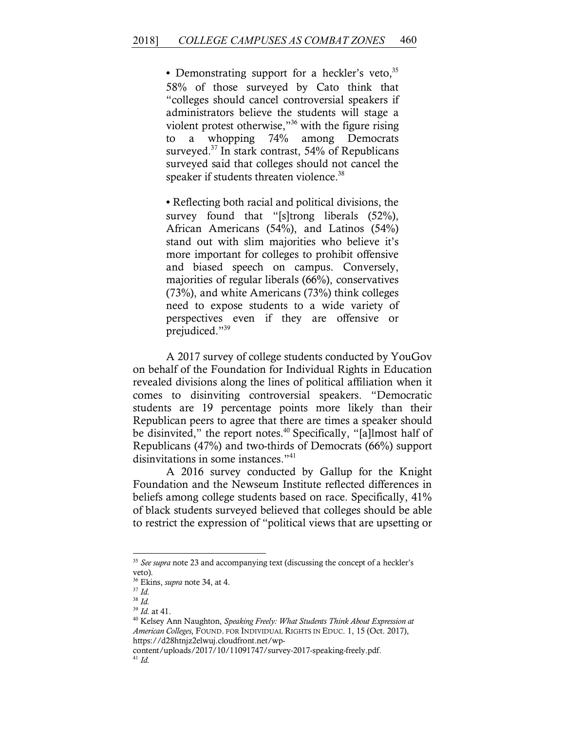• Demonstrating support for a heckler's veto, $35$ 58% of those surveyed by Cato think that "colleges should cancel controversial speakers if administrators believe the students will stage a violent protest otherwise,"36 with the figure rising to a whopping 74% among Democrats surveyed. $37$  In stark contrast, 54% of Republicans surveyed said that colleges should not cancel the speaker if students threaten violence.<sup>38</sup>

• Reflecting both racial and political divisions, the survey found that "[s]trong liberals (52%), African Americans (54%), and Latinos (54%) stand out with slim majorities who believe it's more important for colleges to prohibit offensive and biased speech on campus. Conversely, majorities of regular liberals (66%), conservatives (73%), and white Americans (73%) think colleges need to expose students to a wide variety of perspectives even if they are offensive or prejudiced."39

A 2017 survey of college students conducted by YouGov on behalf of the Foundation for Individual Rights in Education revealed divisions along the lines of political affiliation when it comes to disinviting controversial speakers. "Democratic students are 19 percentage points more likely than their Republican peers to agree that there are times a speaker should be disinvited," the report notes.<sup>40</sup> Specifically, "[a]lmost half of Republicans (47%) and two-thirds of Democrats (66%) support disinvitations in some instances."<sup>41</sup>

A 2016 survey conducted by Gallup for the Knight Foundation and the Newseum Institute reflected differences in beliefs among college students based on race. Specifically, 41% of black students surveyed believed that colleges should be able to restrict the expression of "political views that are upsetting or

<sup>&</sup>lt;sup>35</sup> See supra note 23 and accompanying text (discussing the concept of a heckler's veto).

<sup>36</sup> Ekins, *supra* note 34, at 4.

<sup>37</sup> *Id.*

<sup>&</sup>lt;sup>38</sup> *Id.* <sup>39</sup> *Id.* at 41.

<sup>&</sup>lt;sup>40</sup> Kelsey Ann Naughton, *Speaking Freely: What Students Think About Expression at American Colleges*, FOUND. FOR INDIVIDUAL RIGHTS IN EDUC. 1, 15 (Oct. 2017), https://d28htnjz2elwuj.cloudfront.net/wp-

content/uploads/2017/10/11091747/survey-2017-speaking-freely.pdf. <sup>41</sup> *Id.*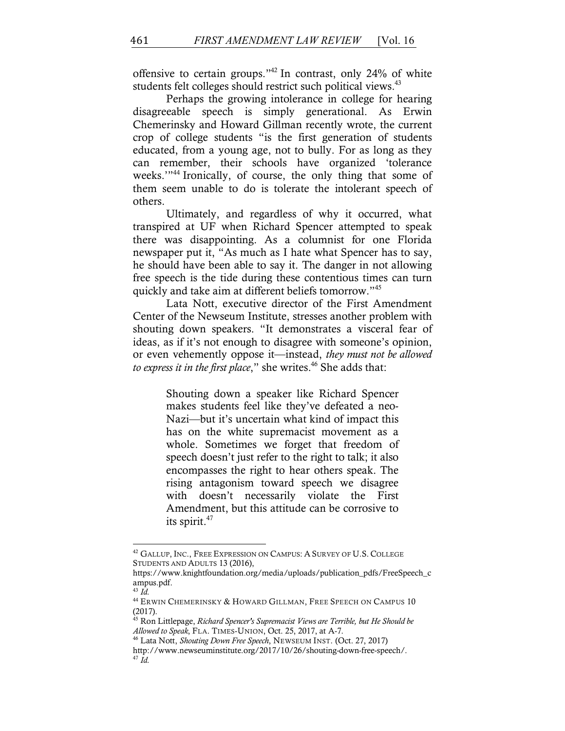offensive to certain groups."42 In contrast, only 24% of white students felt colleges should restrict such political views.<sup>43</sup>

Perhaps the growing intolerance in college for hearing disagreeable speech is simply generational. As Erwin Chemerinsky and Howard Gillman recently wrote, the current crop of college students "is the first generation of students educated, from a young age, not to bully. For as long as they can remember, their schools have organized 'tolerance weeks."<sup>44</sup> Ironically, of course, the only thing that some of them seem unable to do is tolerate the intolerant speech of others.

Ultimately, and regardless of why it occurred, what transpired at UF when Richard Spencer attempted to speak there was disappointing. As a columnist for one Florida newspaper put it, "As much as I hate what Spencer has to say, he should have been able to say it. The danger in not allowing free speech is the tide during these contentious times can turn quickly and take aim at different beliefs tomorrow."45

Lata Nott, executive director of the First Amendment Center of the Newseum Institute, stresses another problem with shouting down speakers. "It demonstrates a visceral fear of ideas, as if it's not enough to disagree with someone's opinion, or even vehemently oppose it—instead, *they must not be allowed*  to express it in the first place," she writes.<sup>46</sup> She adds that:

> Shouting down a speaker like Richard Spencer makes students feel like they've defeated a neo-Nazi—but it's uncertain what kind of impact this has on the white supremacist movement as a whole. Sometimes we forget that freedom of speech doesn't just refer to the right to talk; it also encompasses the right to hear others speak. The rising antagonism toward speech we disagree with doesn't necessarily violate the First Amendment, but this attitude can be corrosive to its spirit. $47$

<sup>43</sup> *Id.*

<sup>&</sup>lt;sup>42</sup> GALLUP, INC., FREE EXPRESSION ON CAMPUS: A SURVEY OF U.S. COLLEGE STUDENTS AND ADULTS 13 (2016),

https://www.knightfoundation.org/media/uploads/publication\_pdfs/FreeSpeech\_c ampus.pdf.

 $^{44}$  Erwin Chemerinsky & Howard Gillman, Free Speech on Campus  $10$ (2017).

<sup>45</sup> Ron Littlepage, *Richard Spencer's Supremacist Views are Terrible, but He Should be Allowed to Speak*, FLA. TIMES-UNION, Oct. 25, 2017, at A-7.

<sup>46</sup> Lata Nott, *Shouting Down Free Speech*, NEWSEUM INST. (Oct. 27, 2017) http://www.newseuminstitute.org/2017/10/26/shouting-down-free-speech/. <sup>47</sup> *Id.*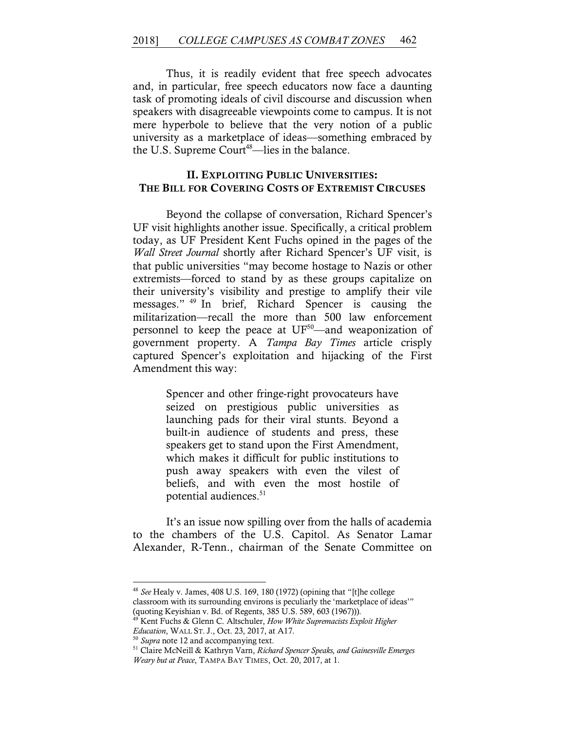Thus, it is readily evident that free speech advocates and, in particular, free speech educators now face a daunting task of promoting ideals of civil discourse and discussion when speakers with disagreeable viewpoints come to campus. It is not mere hyperbole to believe that the very notion of a public university as a marketplace of ideas—something embraced by the U.S. Supreme Court<sup>48</sup>—lies in the balance.

## II. EXPLOITING PUBLIC UNIVERSITIES: THE BILL FOR COVERING COSTS OF EXTREMIST CIRCUSES

Beyond the collapse of conversation, Richard Spencer's UF visit highlights another issue. Specifically, a critical problem today, as UF President Kent Fuchs opined in the pages of the *Wall Street Journal* shortly after Richard Spencer's UF visit, is that public universities "may become hostage to Nazis or other extremists—forced to stand by as these groups capitalize on their university's visibility and prestige to amplify their vile messages." <sup>49</sup> In brief, Richard Spencer is causing the militarization—recall the more than 500 law enforcement personnel to keep the peace at  $UF<sup>50</sup>$ —and weaponization of government property. A *Tampa Bay Times* article crisply captured Spencer's exploitation and hijacking of the First Amendment this way:

> Spencer and other fringe-right provocateurs have seized on prestigious public universities as launching pads for their viral stunts. Beyond a built-in audience of students and press, these speakers get to stand upon the First Amendment, which makes it difficult for public institutions to push away speakers with even the vilest of beliefs, and with even the most hostile of potential audiences.<sup>51</sup>

It's an issue now spilling over from the halls of academia to the chambers of the U.S. Capitol. As Senator Lamar Alexander, R-Tenn., chairman of the Senate Committee on

<sup>48</sup> *See* Healy v. James, 408 U.S. 169, 180 (1972) (opining that "[t]he college classroom with its surrounding environs is peculiarly the 'marketplace of ideas'" (quoting Keyishian v. Bd. of Regents, 385 U.S. 589, 603 (1967))).

<sup>49</sup> Kent Fuchs & Glenn C. Altschuler, *How White Supremacists Exploit Higher Education*, WALL ST. J., Oct. 23, 2017, at A17. 50 *Supra* note 12 and accompanying text.

<sup>51</sup> Claire McNeill & Kathryn Varn, *Richard Spencer Speaks, and Gainesville Emerges Weary but at Peace*, TAMPA BAY TIMES, Oct. 20, 2017, at 1.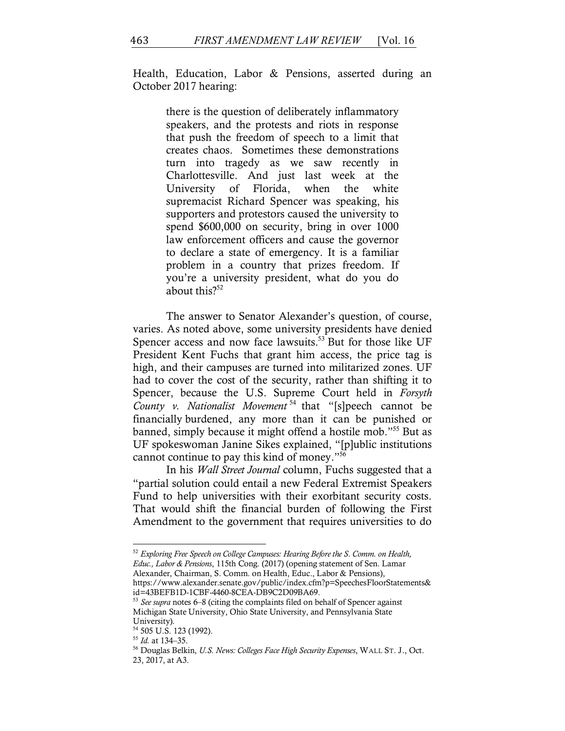Health, Education, Labor & Pensions, asserted during an October 2017 hearing:

> there is the question of deliberately inflammatory speakers, and the protests and riots in response that push the freedom of speech to a limit that creates chaos. Sometimes these demonstrations turn into tragedy as we saw recently in Charlottesville. And just last week at the University of Florida, when the white supremacist Richard Spencer was speaking, his supporters and protestors caused the university to spend \$600,000 on security, bring in over 1000 law enforcement officers and cause the governor to declare a state of emergency. It is a familiar problem in a country that prizes freedom. If you're a university president, what do you do about this? $52^{\frac{52}{3}}$

The answer to Senator Alexander's question, of course, varies. As noted above, some university presidents have denied Spencer access and now face lawsuits.<sup>53</sup> But for those like UF President Kent Fuchs that grant him access, the price tag is high, and their campuses are turned into militarized zones. UF had to cover the cost of the security, rather than shifting it to Spencer, because the U.S. Supreme Court held in *Forsyth County v. Nationalist Movement* <sup>54</sup> that "[s]peech cannot be financially burdened, any more than it can be punished or banned, simply because it might offend a hostile mob."55 But as UF spokeswoman Janine Sikes explained, "[p]ublic institutions cannot continue to pay this kind of money."56

In his *Wall Street Journal* column, Fuchs suggested that a "partial solution could entail a new Federal Extremist Speakers Fund to help universities with their exorbitant security costs. That would shift the financial burden of following the First Amendment to the government that requires universities to do

<sup>52</sup> *Exploring Free Speech on College Campuses: Hearing Before the S. Comm. on Health, Educ., Labor & Pensions*, 115th Cong. (2017) (opening statement of Sen. Lamar Alexander, Chairman, S. Comm. on Health, Educ., Labor & Pensions), https://www.alexander.senate.gov/public/index.cfm?p=SpeechesFloorStatements& id=43BEFB1D-1CBF-4460-8CEA-DB9C2D09BA69.

<sup>53</sup> *See supra* notes 6–8 (citing the complaints filed on behalf of Spencer against Michigan State University, Ohio State University, and Pennsylvania State University).

 $^{54}$  505 U.S. 123 (1992).<br> $^{55}$  *Id.* at 134–35.

<sup>&</sup>lt;sup>56</sup> Douglas Belkin, *U.S. News: Colleges Face High Security Expenses*, WALL ST. J., Oct. 23, 2017, at A3.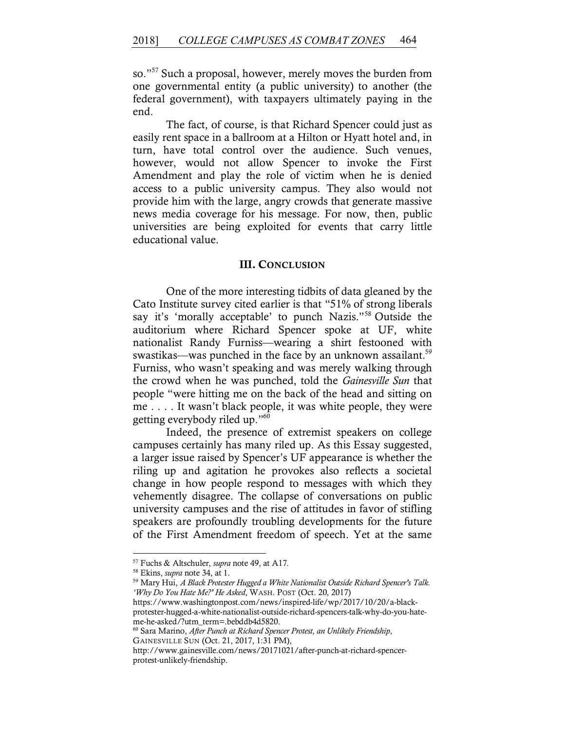so."57 Such a proposal, however, merely moves the burden from one governmental entity (a public university) to another (the federal government), with taxpayers ultimately paying in the end.

The fact, of course, is that Richard Spencer could just as easily rent space in a ballroom at a Hilton or Hyatt hotel and, in turn, have total control over the audience. Such venues, however, would not allow Spencer to invoke the First Amendment and play the role of victim when he is denied access to a public university campus. They also would not provide him with the large, angry crowds that generate massive news media coverage for his message. For now, then, public universities are being exploited for events that carry little educational value.

#### III. CONCLUSION

One of the more interesting tidbits of data gleaned by the Cato Institute survey cited earlier is that "51% of strong liberals say it's 'morally acceptable' to punch Nazis."58 Outside the auditorium where Richard Spencer spoke at UF, white nationalist Randy Furniss—wearing a shirt festooned with swastikas—was punched in the face by an unknown assailant.<sup>59</sup> Furniss, who wasn't speaking and was merely walking through the crowd when he was punched, told the *Gainesville Sun* that people "were hitting me on the back of the head and sitting on me . . . . It wasn't black people, it was white people, they were getting everybody riled up."60

Indeed, the presence of extremist speakers on college campuses certainly has many riled up. As this Essay suggested, a larger issue raised by Spencer's UF appearance is whether the riling up and agitation he provokes also reflects a societal change in how people respond to messages with which they vehemently disagree. The collapse of conversations on public university campuses and the rise of attitudes in favor of stifling speakers are profoundly troubling developments for the future of the First Amendment freedom of speech. Yet at the same

<sup>57</sup> Fuchs & Altschuler, *supra* note 49, at A17.

<sup>58</sup> Ekins, *supra* note 34, at 1.

<sup>59</sup> Mary Hui, *A Black Protester Hugged a White Nationalist Outside Richard Spencer's Talk. 'Why Do You Hate Me?' He Asked*, WASH. POST (Oct. 20, 2017)

https://www.washingtonpost.com/news/inspired-life/wp/2017/10/20/a-blackprotester-hugged-a-white-nationalist-outside-richard-spencers-talk-why-do-you-hateme-he-asked/?utm\_term=.bebddb4d5820.

<sup>60</sup> Sara Marino, *After Punch at Richard Spencer Protest, an Unlikely Friendship*, GAINESVILLE SUN (Oct. 21, 2017, 1:31 PM),

http://www.gainesville.com/news/20171021/after-punch-at-richard-spencerprotest-unlikely-friendship.